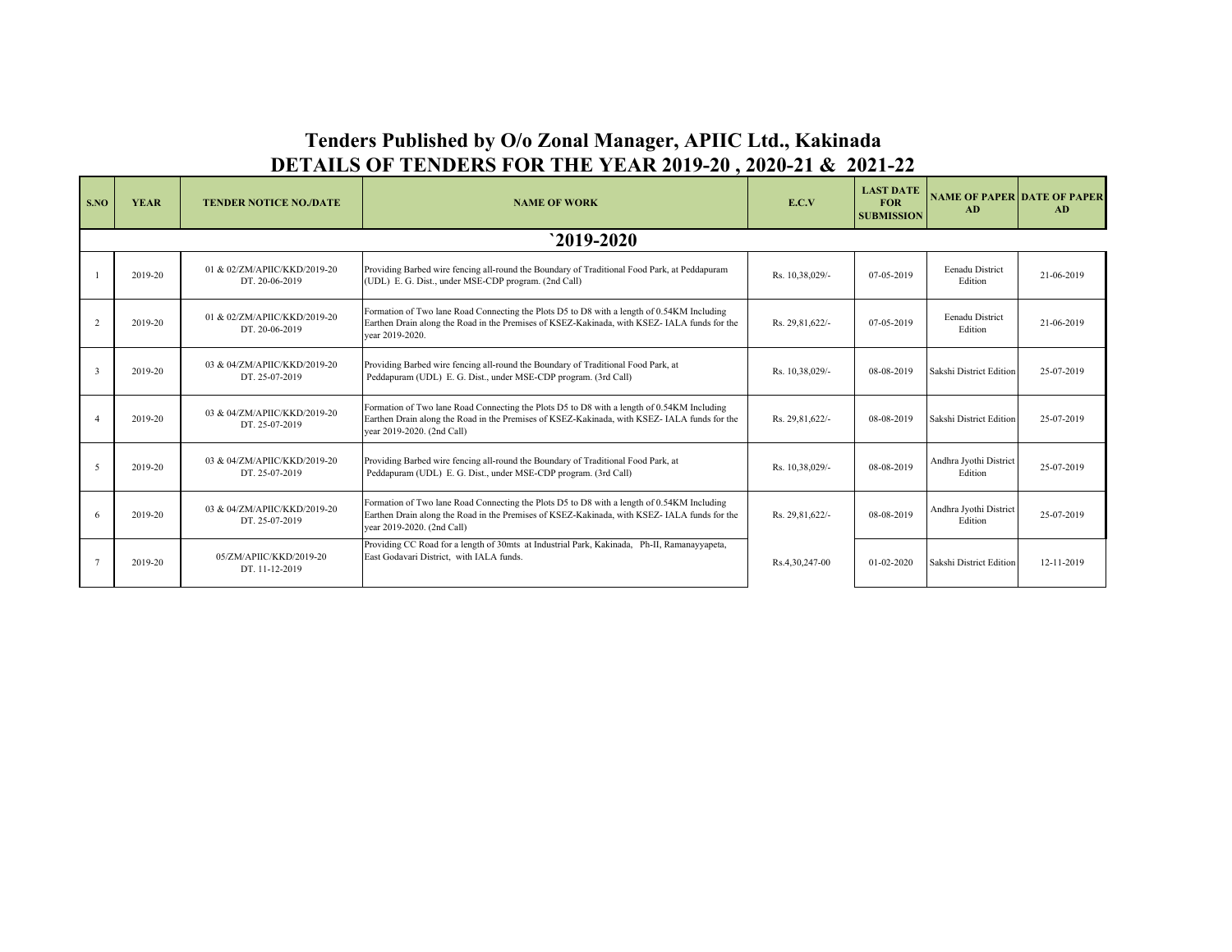## **Tenders Published by O/o Zonal Manager, APIIC Ltd., Kakinada DETAILS OF TENDERS FOR THE YEAR 2019-20 , 2020-21 & 2021-22**

| S.NO           | <b>YEAR</b>   | <b>TENDER NOTICE NO./DATE</b>                  | <b>NAME OF WORK</b>                                                                                                                                                                                                     | E.C.V           | <b>LAST DATE</b><br><b>FOR</b><br><b>SUBMISSION</b> | <b>NAME OF PAPER DATE OF PAPER</b><br>AD | AD         |  |  |
|----------------|---------------|------------------------------------------------|-------------------------------------------------------------------------------------------------------------------------------------------------------------------------------------------------------------------------|-----------------|-----------------------------------------------------|------------------------------------------|------------|--|--|
|                | $2019 - 2020$ |                                                |                                                                                                                                                                                                                         |                 |                                                     |                                          |            |  |  |
|                | 2019-20       | 01 & 02/ZM/APIIC/KKD/2019-20<br>DT. 20-06-2019 | Providing Barbed wire fencing all-round the Boundary of Traditional Food Park, at Peddapuram<br>(UDL) E. G. Dist., under MSE-CDP program. (2nd Call)                                                                    | Rs. 10,38,029/- | 07-05-2019                                          | Eenadu District<br>Edition               | 21-06-2019 |  |  |
| $\overline{2}$ | 2019-20       | 01 & 02/ZM/APIIC/KKD/2019-20<br>DT. 20-06-2019 | Formation of Two lane Road Connecting the Plots D5 to D8 with a length of 0.54KM Including<br>Earthen Drain along the Road in the Premises of KSEZ-Kakinada, with KSEZ-IALA funds for the<br>vear 2019-2020.            | Rs. 29.81.622/- | 07-05-2019                                          | <b>Eenadu</b> District<br>Edition        | 21-06-2019 |  |  |
|                | 2019-20       | 03 & 04/ZM/APIIC/KKD/2019-20<br>DT. 25-07-2019 | Providing Barbed wire fencing all-round the Boundary of Traditional Food Park, at<br>Peddapuram (UDL) E. G. Dist., under MSE-CDP program. (3rd Call)                                                                    | Rs. 10,38,029/- | 08-08-2019                                          | Sakshi District Edition                  | 25-07-2019 |  |  |
|                | 2019-20       | 03 & 04/ZM/APIIC/KKD/2019-20<br>DT. 25-07-2019 | Formation of Two lane Road Connecting the Plots D5 to D8 with a length of 0.54KM Including<br>Earthen Drain along the Road in the Premises of KSEZ-Kakinada, with KSEZ-IALA funds for the<br>year 2019-2020. (2nd Call) | Rs. 29,81,622/- | 08-08-2019                                          | Sakshi District Edition                  | 25-07-2019 |  |  |
| -5             | 2019-20       | 03 & 04/ZM/APIIC/KKD/2019-20<br>DT. 25-07-2019 | Providing Barbed wire fencing all-round the Boundary of Traditional Food Park, at<br>Peddapuram (UDL) E. G. Dist., under MSE-CDP program. (3rd Call)                                                                    | Rs. 10,38,029/- | 08-08-2019                                          | Andhra Jyothi District<br>Edition        | 25-07-2019 |  |  |
|                | 2019-20       | 03 & 04/ZM/APIIC/KKD/2019-20<br>DT. 25-07-2019 | Formation of Two lane Road Connecting the Plots D5 to D8 with a length of 0.54KM Including<br>Earthen Drain along the Road in the Premises of KSEZ-Kakinada, with KSEZ-IALA funds for the<br>year 2019-2020. (2nd Call) | Rs. 29.81.622/- | 08-08-2019                                          | Andhra Jyothi District<br>Edition        | 25-07-2019 |  |  |
|                | 2019-20       | 05/ZM/APIIC/KKD/2019-20<br>DT. 11-12-2019      | Providing CC Road for a length of 30mts at Industrial Park, Kakinada, Ph-II, Ramanayyapeta,<br>East Godavari District. with IALA funds.                                                                                 | Rs.4,30,247-00  | $01 - 02 - 2020$                                    | Sakshi District Edition                  | 12-11-2019 |  |  |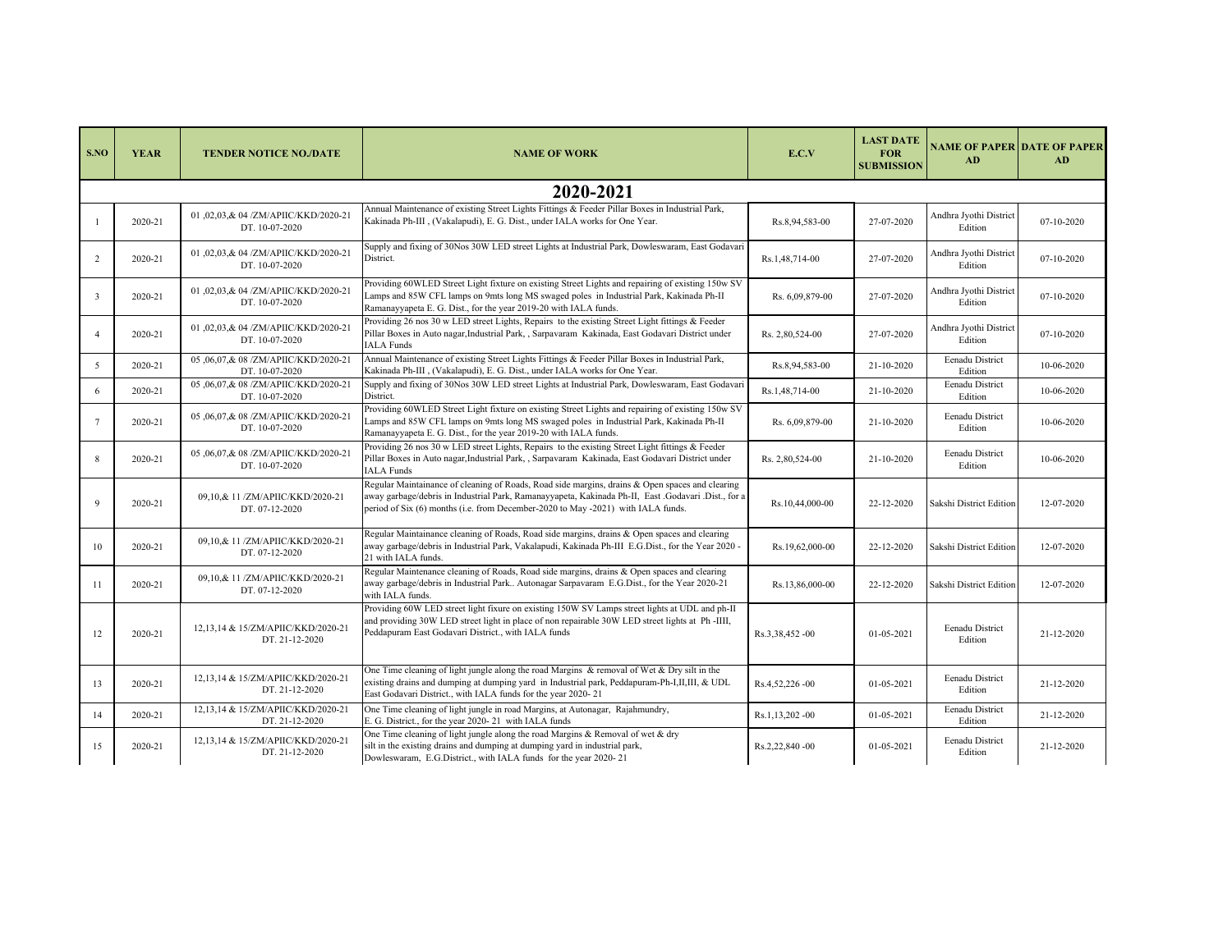| S.NO                    | <b>YEAR</b> | <b>TENDER NOTICE NO./DATE</b>                          | <b>NAME OF WORK</b>                                                                                                                                                                                                                                                                        | E.C.V           | <b>LAST DATE</b><br><b>FOR</b><br><b>SUBMISSION</b> | <b>NAME OF PAPER DATE OF PAPER</b><br>AD | AD         |  |  |
|-------------------------|-------------|--------------------------------------------------------|--------------------------------------------------------------------------------------------------------------------------------------------------------------------------------------------------------------------------------------------------------------------------------------------|-----------------|-----------------------------------------------------|------------------------------------------|------------|--|--|
|                         | 2020-2021   |                                                        |                                                                                                                                                                                                                                                                                            |                 |                                                     |                                          |            |  |  |
|                         | 2020-21     | 01,02,03,& 04/ZM/APIIC/KKD/2020-21<br>DT. 10-07-2020   | Annual Maintenance of existing Street Lights Fittings & Feeder Pillar Boxes in Industrial Park,<br>Kakinada Ph-III , (Vakalapudi), E. G. Dist., under IALA works for One Year.                                                                                                             | Rs.8,94,583-00  | 27-07-2020                                          | Andhra Jyothi District<br>Edition        | 07-10-2020 |  |  |
| 2                       | 2020-21     | 01,02,03,& 04/ZM/APIIC/KKD/2020-21<br>DT. 10-07-2020   | Supply and fixing of 30Nos 30W LED street Lights at Industrial Park, Dowleswaram, East Godavari<br>District.                                                                                                                                                                               | Rs.1,48,714-00  | 27-07-2020                                          | Andhra Jyothi District<br>Edition        | 07-10-2020 |  |  |
| $\overline{\mathbf{3}}$ | 2020-21     | 01,02,03,& 04/ZM/APIIC/KKD/2020-21<br>DT. 10-07-2020   | Providing 60WLED Street Light fixture on existing Street Lights and repairing of existing 150w SV<br>Lamps and 85W CFL lamps on 9mts long MS swaged poles in Industrial Park, Kakinada Ph-II<br>Ramanayyapeta E. G. Dist., for the year 2019-20 with IALA funds.                           | Rs. 6,09,879-00 | 27-07-2020                                          | Andhra Jyothi District<br>Edition        | 07-10-2020 |  |  |
| $\overline{4}$          | 2020-21     | 01,02,03,& 04/ZM/APIIC/KKD/2020-21<br>DT. 10-07-2020   | Providing 26 nos 30 w LED street Lights, Repairs to the existing Street Light fittings & Feeder<br>Pillar Boxes in Auto nagar, Industrial Park, , Sarpavaram Kakinada, East Godavari District under<br><b>IALA</b> Funds                                                                   | Rs. 2,80,524-00 | 27-07-2020                                          | Andhra Jyothi District<br>Edition        | 07-10-2020 |  |  |
| 5                       | 2020-21     | 05 ,06,07,& 08 /ZM/APIIC/KKD/2020-21<br>DT. 10-07-2020 | Annual Maintenance of existing Street Lights Fittings & Feeder Pillar Boxes in Industrial Park,<br>Kakinada Ph-III , (Vakalapudi), E. G. Dist., under IALA works for One Year.                                                                                                             | Rs.8,94,583-00  | 21-10-2020                                          | Eenadu District<br>Edition               | 10-06-2020 |  |  |
| 6                       | 2020-21     | 05 ,06,07,& 08 /ZM/APIIC/KKD/2020-21<br>DT. 10-07-2020 | Supply and fixing of 30Nos 30W LED street Lights at Industrial Park, Dowleswaram, East Godavari<br>District.                                                                                                                                                                               | Rs.1,48,714-00  | 21-10-2020                                          | Eenadu District<br>Edition               | 10-06-2020 |  |  |
| 7                       | 2020-21     | 05,06,07,&08/ZM/APIIC/KKD/2020-21<br>DT. 10-07-2020    | Providing 60WLED Street Light fixture on existing Street Lights and repairing of existing 150w SV<br>Lamps and 85W CFL lamps on 9mts long MS swaged poles in Industrial Park, Kakinada Ph-II<br>Ramanayyapeta E. G. Dist., for the year 2019-20 with IALA funds.                           | Rs. 6,09,879-00 | 21-10-2020                                          | Eenadu District<br>Edition               | 10-06-2020 |  |  |
| 8                       | 2020-21     | 05,06,07,&08/ZM/APIIC/KKD/2020-21<br>DT. 10-07-2020    | Providing 26 nos 30 w LED street Lights, Repairs to the existing Street Light fittings & Feeder<br>Pillar Boxes in Auto nagar, Industrial Park, , Sarpavaram Kakinada, East Godavari District under<br><b>IALA</b> Funds                                                                   | Rs. 2,80,524-00 | 21-10-2020                                          | Eenadu District<br>Edition               | 10-06-2020 |  |  |
| 9                       | 2020-21     | 09,10,& 11 /ZM/APIIC/KKD/2020-21<br>DT. 07-12-2020     | Regular Maintainance of cleaning of Roads, Road side margins, drains & Open spaces and clearing<br>away garbage/debris in Industrial Park, Ramanayyapeta, Kakinada Ph-II, East .Godavari .Dist., for a<br>period of Six (6) months (i.e. from December-2020 to May -2021) with IALA funds. | Rs.10,44,000-00 | 22-12-2020                                          | Sakshi District Edition                  | 12-07-2020 |  |  |
| 10                      | 2020-21     | 09,10,& 11 /ZM/APIIC/KKD/2020-21<br>DT. 07-12-2020     | Regular Maintainance cleaning of Roads, Road side margins, drains & Open spaces and clearing<br>away garbage/debris in Industrial Park, Vakalapudi, Kakinada Ph-III E.G.Dist., for the Year 2020 -<br>21 with IALA funds.                                                                  | Rs.19,62,000-00 | 22-12-2020                                          | Sakshi District Edition                  | 12-07-2020 |  |  |
| 11                      | 2020-21     | 09,10,& 11 /ZM/APIIC/KKD/2020-21<br>DT. 07-12-2020     | Regular Maintenance cleaning of Roads, Road side margins, drains & Open spaces and clearing<br>away garbage/debris in Industrial Park Autonagar Sarpavaram E.G.Dist., for the Year 2020-21<br>with IALA funds.                                                                             | Rs.13,86,000-00 | 22-12-2020                                          | Sakshi District Edition                  | 12-07-2020 |  |  |
| 12                      | 2020-21     | 12,13,14 & 15/ZM/APIIC/KKD/2020-21<br>DT. 21-12-2020   | Providing 60W LED street light fixure on existing 150W SV Lamps street lights at UDL and ph-II<br>and providing 30W LED street light in place of non repairable 30W LED street lights at Ph-IIII,<br>Peddapuram East Godavari District., with IALA funds                                   | Rs.3,38,452-00  | 01-05-2021                                          | Eenadu District<br>Edition               | 21-12-2020 |  |  |
| 13                      | 2020-21     | 12,13,14 & 15/ZM/APIIC/KKD/2020-21<br>DT. 21-12-2020   | One Time cleaning of light jungle along the road Margins & removal of Wet & Dry silt in the<br>existing drains and dumping at dumping yard in Industrial park, Peddapuram-Ph-I,II,III, & UDL<br>East Godavari District., with IALA funds for the year 2020-21                              | Rs.4,52,226-00  | 01-05-2021                                          | Eenadu District<br>Edition               | 21-12-2020 |  |  |
| 14                      | 2020-21     | 12.13.14 & 15/ZM/APIIC/KKD/2020-21<br>DT. 21-12-2020   | One Time cleaning of light jungle in road Margins, at Autonagar, Rajahmundry,<br>E. G. District., for the year 2020-21 with IALA funds                                                                                                                                                     | Rs.1,13,202 -00 | 01-05-2021                                          | Eenadu District<br>Edition               | 21-12-2020 |  |  |
| 15                      | 2020-21     | 12,13,14 & 15/ZM/APIIC/KKD/2020-21<br>DT. 21-12-2020   | One Time cleaning of light jungle along the road Margins & Removal of wet & dry<br>silt in the existing drains and dumping at dumping yard in industrial park,<br>Dowleswaram, E.G.District., with IALA funds for the year 2020-21                                                         | Rs.2,22,840 -00 | 01-05-2021                                          | Eenadu District<br>Edition               | 21-12-2020 |  |  |